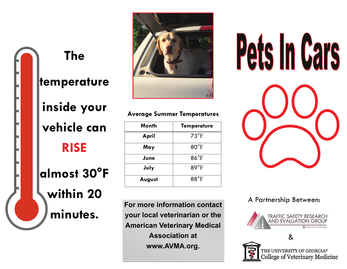# **The temperature inside your vehicle can**

**RISE** 

**almost 30°F within 20 minutes.** 



#### **Average Summer Temperatures**

| Month  | <b>Temperature</b> |
|--------|--------------------|
| April  | $73^{\circ}F$      |
| May    | $80^{\circ}$ F     |
| June   | $86^{\circ}$ F     |
| July   | $89^{\circ}$ F     |
| August | $88^{\circ}$ F     |

**For more information contact your local veterinarian or the American Veterinary Medical Association at www.AVMA.org.** 



A Partnership Between: